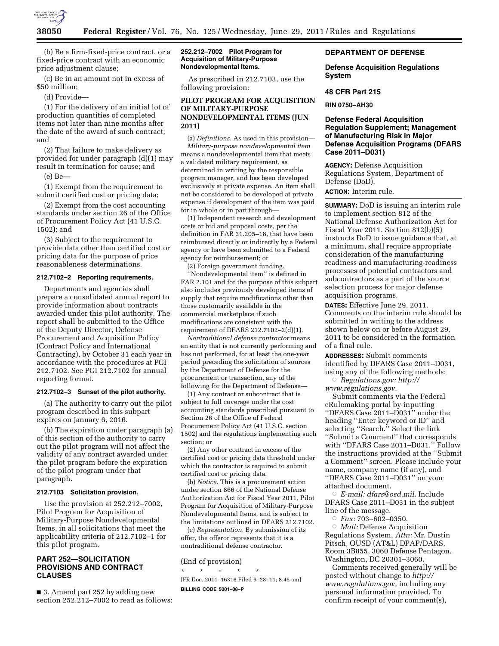

(b) Be a firm-fixed-price contract, or a fixed-price contract with an economic price adjustment clause;

(c) Be in an amount not in excess of \$50 million;

(d) Provide—

(1) For the delivery of an initial lot of production quantities of completed items not later than nine months after the date of the award of such contract; and

(2) That failure to make delivery as provided for under paragraph (d)(1) may result in termination for cause; and

(e) Be—

(1) Exempt from the requirement to submit certified cost or pricing data;

(2) Exempt from the cost accounting standards under section 26 of the Office of Procurement Policy Act (41 U.S.C. 1502); and

(3) Subject to the requirement to provide data other than certified cost or pricing data for the purpose of price reasonableness determinations.

### **212.7102–2 Reporting requirements.**

Departments and agencies shall prepare a consolidated annual report to provide information about contracts awarded under this pilot authority. The report shall be submitted to the Office of the Deputy Director, Defense Procurement and Acquisition Policy (Contract Policy and International Contracting), by October 31 each year in accordance with the procedures at PGI 212.7102. See PGI 212.7102 for annual reporting format.

#### **212.7102–3 Sunset of the pilot authority.**

(a) The authority to carry out the pilot program described in this subpart expires on January 6, 2016.

(b) The expiration under paragraph (a) of this section of the authority to carry out the pilot program will not affect the validity of any contract awarded under the pilot program before the expiration of the pilot program under that paragraph.

#### **212.7103 Solicitation provision.**

Use the provision at 252.212–7002, Pilot Program for Acquisition of Military-Purpose Nondevelopmental Items, in all solicitations that meet the applicability criteria of 212.7102–1 for this pilot program.

# **PART 252—SOLICITATION PROVISIONS AND CONTRACT CLAUSES**

■ 3. Amend part 252 by adding new section 252.212–7002 to read as follows:

### **252.212–7002 Pilot Program for Acquisition of Military-Purpose Nondevelopmental Items.**

As prescribed in 212.7103, use the following provision:

# **PILOT PROGRAM FOR ACQUISITION OF MILITARY-PURPOSE NONDEVELOPMENTAL ITEMS (JUN 2011)**

(a) *Definitions.* As used in this provision— *Military-purpose nondevelopmental item*  means a nondevelopmental item that meets a validated military requirement, as determined in writing by the responsible program manager, and has been developed exclusively at private expense. An item shall not be considered to be developed at private expense if development of the item was paid for in whole or in part through—

(1) Independent research and development costs or bid and proposal costs, per the definition in FAR 31.205–18, that have been reimbursed directly or indirectly by a Federal agency or have been submitted to a Federal agency for reimbursement; or

(2) Foreign government funding. ''Nondevelopmental item'' is defined in FAR 2.101 and for the purpose of this subpart also includes previously developed items of supply that require modifications other than those customarily available in the commercial marketplace if such modifications are consistent with the requirement of DFARS 212.7102–2(d)(1).

*Nontraditional defense contractor* means an entity that is not currently performing and has not performed, for at least the one-year period preceding the solicitation of sources by the Department of Defense for the procurement or transaction, any of the following for the Department of Defense—

(1) Any contract or subcontract that is subject to full coverage under the cost accounting standards prescribed pursuant to Section 26 of the Office of Federal Procurement Policy Act (41 U.S.C. section 1502) and the regulations implementing such section; or

(2) Any other contract in excess of the certified cost or pricing data threshold under which the contractor is required to submit certified cost or pricing data.

(b) *Notice.* This is a procurement action under section 866 of the National Defense Authorization Act for Fiscal Year 2011, Pilot Program for Acquisition of Military-Purpose Nondevelopmental Items, and is subject to the limitations outlined in DFARS 212.7102.

(c) *Representation.* By submission of its offer, the offeror represents that it is a nontraditional defense contractor.

# (End of provision)

\* \* \* \* \*

[FR Doc. 2011–16316 Filed 6–28–11; 8:45 am] **BILLING CODE 5001–08–P** 

# **DEPARTMENT OF DEFENSE**

**Defense Acquisition Regulations System** 

### **48 CFR Part 215**

**RIN 0750–AH30** 

# **Defense Federal Acquisition Regulation Supplement; Management of Manufacturing Risk in Major Defense Acquisition Programs (DFARS Case 2011–D031)**

**AGENCY:** Defense Acquisition Regulations System, Department of Defense (DoD).

**ACTION:** Interim rule.

**SUMMARY:** DoD is issuing an interim rule to implement section 812 of the National Defense Authorization Act for Fiscal Year 2011. Section 812(b)(5) instructs DoD to issue guidance that, at a minimum, shall require appropriate consideration of the manufacturing readiness and manufacturing-readiness processes of potential contractors and subcontractors as a part of the source selection process for major defense acquisition programs.

**DATES:** Effective June 29, 2011. Comments on the interim rule should be submitted in writing to the address shown below on or before August 29, 2011 to be considered in the formation of a final rule.

**ADDRESSES:** Submit comments identified by DFARS Case 2011–D031, using any of the following methods:

Æ *Regulations.gov: [http://](http://www.regulations.gov)  [www.regulations.gov.](http://www.regulations.gov)* 

Submit comments via the Federal eRulemaking portal by inputting ''DFARS Case 2011–D031'' under the heading ''Enter keyword or ID'' and selecting "Search." Select the link ''Submit a Comment'' that corresponds with ''DFARS Case 2011–D031.'' Follow the instructions provided at the ''Submit a Comment'' screen. Please include your name, company name (if any), and ''DFARS Case 2011–D031'' on your attached document.

Æ *E-mail: [dfars@osd.mil.](mailto:dfars@osd.mil)* Include DFARS Case 2011–D031 in the subject line of the message.

Æ *Fax:* 703–602–0350.

Æ *Mail:* Defense Acquisition Regulations System, *Attn:* Mr. Dustin Pitsch, OUSD (AT&L) DPAP/DARS, Room 3B855, 3060 Defense Pentagon, Washington, DC 20301–3060.

Comments received generally will be posted without change to *[http://](http://www.regulations.gov) [www.regulations.gov,](http://www.regulations.gov)* including any personal information provided. To confirm receipt of your comment(s),